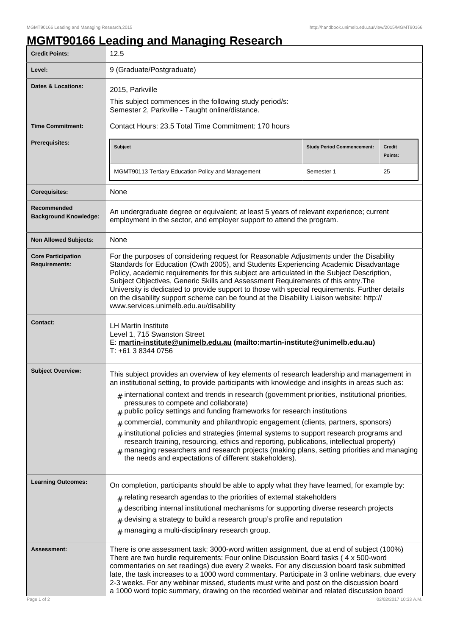## **MGMT90166 Leading and Managing Research**

| <b>Credit Points:</b>                             | 12.5                                                                                                                                                                                                                                                                                                                                                                                                                                                                                                                                                                                                       |                                   |                          |
|---------------------------------------------------|------------------------------------------------------------------------------------------------------------------------------------------------------------------------------------------------------------------------------------------------------------------------------------------------------------------------------------------------------------------------------------------------------------------------------------------------------------------------------------------------------------------------------------------------------------------------------------------------------------|-----------------------------------|--------------------------|
| Level:                                            | 9 (Graduate/Postgraduate)                                                                                                                                                                                                                                                                                                                                                                                                                                                                                                                                                                                  |                                   |                          |
| <b>Dates &amp; Locations:</b>                     | 2015, Parkville                                                                                                                                                                                                                                                                                                                                                                                                                                                                                                                                                                                            |                                   |                          |
|                                                   | This subject commences in the following study period/s:<br>Semester 2, Parkville - Taught online/distance.                                                                                                                                                                                                                                                                                                                                                                                                                                                                                                 |                                   |                          |
| <b>Time Commitment:</b>                           | Contact Hours: 23.5 Total Time Commitment: 170 hours                                                                                                                                                                                                                                                                                                                                                                                                                                                                                                                                                       |                                   |                          |
| <b>Prerequisites:</b>                             | <b>Subject</b>                                                                                                                                                                                                                                                                                                                                                                                                                                                                                                                                                                                             | <b>Study Period Commencement:</b> | <b>Credit</b><br>Points: |
|                                                   | MGMT90113 Tertiary Education Policy and Management                                                                                                                                                                                                                                                                                                                                                                                                                                                                                                                                                         | Semester 1                        | 25                       |
| <b>Corequisites:</b>                              | None                                                                                                                                                                                                                                                                                                                                                                                                                                                                                                                                                                                                       |                                   |                          |
| Recommended<br><b>Background Knowledge:</b>       | An undergraduate degree or equivalent; at least 5 years of relevant experience; current<br>employment in the sector, and employer support to attend the program.                                                                                                                                                                                                                                                                                                                                                                                                                                           |                                   |                          |
| <b>Non Allowed Subjects:</b>                      | None                                                                                                                                                                                                                                                                                                                                                                                                                                                                                                                                                                                                       |                                   |                          |
| <b>Core Participation</b><br><b>Requirements:</b> | For the purposes of considering request for Reasonable Adjustments under the Disability<br>Standards for Education (Cwth 2005), and Students Experiencing Academic Disadvantage<br>Policy, academic requirements for this subject are articulated in the Subject Description,<br>Subject Objectives, Generic Skills and Assessment Requirements of this entry. The<br>University is dedicated to provide support to those with special requirements. Further details<br>on the disability support scheme can be found at the Disability Liaison website: http://<br>www.services.unimelb.edu.au/disability |                                   |                          |
| <b>Contact:</b>                                   | <b>LH Martin Institute</b><br>Level 1, 715 Swanston Street<br>E: martin-institute@unimelb.edu.au (mailto:martin-institute@unimelb.edu.au)<br>T: +61 3 8344 0756                                                                                                                                                                                                                                                                                                                                                                                                                                            |                                   |                          |
| <b>Subject Overview:</b>                          | This subject provides an overview of key elements of research leadership and management in<br>an institutional setting, to provide participants with knowledge and insights in areas such as:                                                                                                                                                                                                                                                                                                                                                                                                              |                                   |                          |
|                                                   | $*$ international context and trends in research (government priorities, institutional priorities,<br>pressures to compete and collaborate)<br>public policy settings and funding frameworks for research institutions<br>#                                                                                                                                                                                                                                                                                                                                                                                |                                   |                          |
|                                                   | commercial, community and philanthropic engagement (clients, partners, sponsors)<br>#                                                                                                                                                                                                                                                                                                                                                                                                                                                                                                                      |                                   |                          |
|                                                   | $#$ institutional policies and strategies (internal systems to support research programs and<br>research training, resourcing, ethics and reporting, publications, intellectual property)<br>$#$ managing researchers and research projects (making plans, setting priorities and managing<br>the needs and expectations of different stakeholders).                                                                                                                                                                                                                                                       |                                   |                          |
| <b>Learning Outcomes:</b>                         | On completion, participants should be able to apply what they have learned, for example by:                                                                                                                                                                                                                                                                                                                                                                                                                                                                                                                |                                   |                          |
|                                                   | $#$ relating research agendas to the priorities of external stakeholders                                                                                                                                                                                                                                                                                                                                                                                                                                                                                                                                   |                                   |                          |
|                                                   | describing internal institutional mechanisms for supporting diverse research projects<br>#                                                                                                                                                                                                                                                                                                                                                                                                                                                                                                                 |                                   |                          |
|                                                   | devising a strategy to build a research group's profile and reputation<br>$\#$<br>$#$ managing a multi-disciplinary research group.                                                                                                                                                                                                                                                                                                                                                                                                                                                                        |                                   |                          |
| Assessment:<br>Page 1 of 2                        | There is one assessment task: 3000-word written assignment, due at end of subject (100%)<br>There are two hurdle requirements: Four online Discussion Board tasks (4 x 500-word<br>commentaries on set readings) due every 2 weeks. For any discussion board task submitted<br>late, the task increases to a 1000 word commentary. Participate in 3 online webinars, due every<br>2-3 weeks. For any webinar missed, students must write and post on the discussion board<br>a 1000 word topic summary, drawing on the recorded webinar and related discussion board<br>02/02/2017 10:33 A.M.              |                                   |                          |